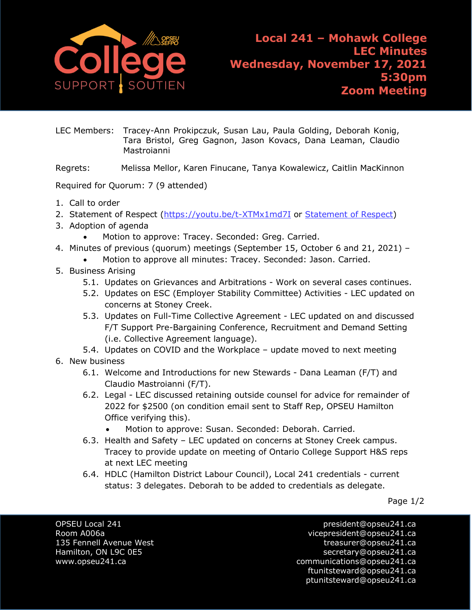

LEC Members: Tracey-Ann Prokipczuk, Susan Lau, Paula Golding, Deborah Konig, Tara Bristol, Greg Gagnon, Jason Kovacs, Dana Leaman, Claudio Mastroianni

Regrets: Melissa Mellor, Karen Finucane, Tanya Kowalewicz, Caitlin MacKinnon

Required for Quorum: 7 (9 attended)

- 1. Call to order
- 2. [Statement of Respect](https://opseu.org/wp-content/uploads/2014/04/Statement-of-Respect-2019.pdf) [\(https://youtu.be/t-XTMx1md7I](https://youtu.be/t-XTMx1md7I) or [Statement of Respect\)](https://www.opseu.org/information/tools-and-resources/statement-of-respect/9709/)
- 3. Adoption of agenda
	- Motion to approve: Tracey. Seconded: Greg. Carried.
- 4. Minutes of previous (quorum) meetings (September 15, October 6 and 21, 2021)
	- Motion to approve all minutes: Tracey. Seconded: Jason. Carried.
- 5. Business Arising
	- 5.1. Updates on Grievances and Arbitrations Work on several cases continues.
	- 5.2. Updates on ESC (Employer Stability Committee) Activities LEC updated on concerns at Stoney Creek.
	- 5.3. Updates on Full-Time Collective Agreement LEC updated on and discussed F/T Support Pre-Bargaining Conference, Recruitment and Demand Setting (i.e. Collective Agreement language).
	- 5.4. Updates on COVID and the Workplace update moved to next meeting
- 6. New business
	- 6.1. Welcome and Introductions for new Stewards Dana Leaman (F/T) and Claudio Mastroianni (F/T).
	- 6.2. Legal LEC discussed retaining outside counsel for advice for remainder of 2022 for \$2500 (on condition email sent to Staff Rep, OPSEU Hamilton Office verifying this).
		- Motion to approve: Susan. Seconded: Deborah. Carried.
	- 6.3. Health and Safety LEC updated on concerns at Stoney Creek campus. Tracey to provide update on meeting of Ontario College Support H&S reps at next LEC meeting
	- 6.4. HDLC (Hamilton District Labour Council), Local 241 credentials current status: 3 delegates. Deborah to be added to credentials as delegate.

Page 1/2

OPSEU Local 241 president@opseu241.ca

Room A006a vicepresident@opseu241.ca 135 Fennell Avenue West [treasurer@opseu241.ca](mailto:treasurer@opseu241.ca) Hamilton, ON L9C 0E5 [secretary@opseu241.ca](mailto:secretary@opseu241.ca) www.opseu241.ca example and the communications@opseu241.ca [ftunitsteward@opseu241.ca](mailto:ftunitsteward@opseu241.ca) ptunitsteward@opseu241.ca